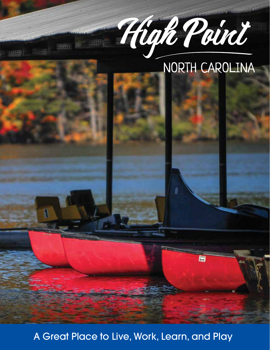

B

# NORTH CAROLINA

A Great Place to Live, Work, Learn, and Play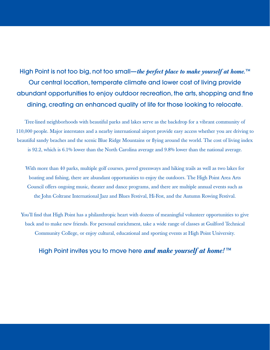High Point is not too big, not too small—*the perfect place to make yourself at home.™* Our central location, temperate climate and lower cost of living provide abundant opportunities to enjoy outdoor recreation, the arts, shopping and fine dining, creating an enhanced quality of life for those looking to relocate.

Tree-lined neighborhoods with beautiful parks and lakes serve as the backdrop for a vibrant community of 110,000 people. Major interstates and a nearby international airport provide easy access whether you are driving to beautiful sandy beaches and the scenic Blue Ridge Mountains or flying around the world. The cost of living index is 92.2, which is 6.1% lower than the North Carolina average and 9.8% lower than the national average.

With more than 40 parks, multiple golf courses, paved greenways and hiking trails as well as two lakes for boating and fishing, there are abundant opportunities to enjoy the outdoors. The High Point Area Arts Council offers ongoing music, theater and dance programs, and there are multiple annual events such as the John Coltrane International Jazz and Blues Festival, Hi-Fest, and the Autumn Rowing Festival.

You'll find that High Point has a philanthropic heart with dozens of meaningful volunteer opportunities to give back and to make new friends. For personal enrichment, take a wide range of classes at Guilford Technical Community College, or enjoy cultural, educational and sporting events at High Point University.

### High Point invites you to move here *and make yourself at home! ™*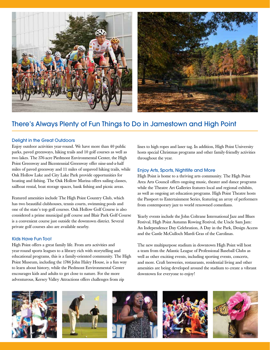

# There's Always Plenty of Fun Things to Do in Jamestown and High Point

#### Delight in the Great Outdoors

Enjoy outdoor activities year-round. We have more than 40 public parks, paved greenways, hiking trails and 10 golf courses as well as two lakes. The 376-acre Piedmont Environmental Center, the High Point Greenway and Bicentennial Greenway offer nine-and-a-half miles of paved greenway and 11 miles of unpaved hiking trails, while Oak Hollow Lake and City Lake Park provide opportunities for boating and fishing. The Oak Hollow Marina offers sailing classes, sailboat rental, boat storage spaces, bank fishing and picnic areas.

Featured amenities include The High Point Country Club, which has two beautiful clubhouses, tennis courts, swimming pools and one of the state's top golf courses. Oak Hollow Golf Course is also considered a prime municipal golf course and Blair Park Golf Course is a convenient course just outside the downtown district. Several private golf courses also are available nearby.

#### Kids Have Fun Too!

High Point offers a great family life. From arts activities and year-round sports leagues to a library rich with storytelling and educational programs, this is a family-oriented community. The High Point Museum, including the 1786 John Haley House, is a fun way to learn about history, while the Piedmont Environmental Center encourages kids and adults to get close to nature. For the more adventurous, Kersey Valley Attractions offers challenges from zip

lines to high ropes and laser tag. In addition, High Point University hosts special Christmas programs and other family-friendly activities throughout the year.

#### Enjoy Arts, Sports, Nightlife and More

High Point is home to a thriving arts community. The High Point Area Arts Council offers ongoing music, theater and dance programs while the Theatre Art Galleries features local and regional exhibits, as well as ongoing art education programs. High Point Theatre hosts the Passport to Entertainment Series, featuring an array of performers from contemporary jazz to world renowned comedians.

Yearly events include the John Coltrane International Jazz and Blues Festival, High Point Autumn Rowing Festival, the Uncle Sam Jam: An Independence Day Celebration, A Day in the Park, Design Access and the Castle McCulloch Mardi Gras of the Carolinas.

The new multipurpose stadium in downtown High Point will host a team from the Atlantic League of Professional Baseball Clubs as well as other exciting events, including sporting events, concerts, and more. Craft breweries, restaurants, residential living and other amenities are being developed around the stadium to create a vibrant downtown for everyone to enjoy!

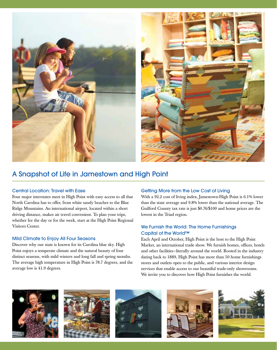

## A Snapshot of Life in Jamestown and High Point

#### Central Location: Travel with Ease

Four major interstates meet in High Point with easy access to all that North Carolina has to offer, from white sandy beaches to the Blue Ridge Mountains. An international airport, located within a short driving distance, makes air travel convenient. To plan your trips, whether for the day or for the week, start at the High Point Regional Visitors Center.

#### Mild Climate to Enjoy All Four Seasons

Discover why our state is known for its Carolina blue sky. High Point enjoys a temperate climate and the natural beauty of four distinct seasons, with mild winters and long fall and spring months. The average high temperature in High Point is 78.7 degrees, and the average low is 41.9 degrees.

#### Getting More from the Low Cost of Living

With a 92.2 cost of living index, Jamestown-High Point is 6.1% lower than the state average and 9.8% lower than the national average. The Guilford County tax rate is just \$0.76/\$100 and home prices are the lowest in the Triad region.

#### We Furnish the World: The Home Furnishings Capital of the World™

Each April and October, High Point is the host to the High Point Market, an international trade show. We furnish homes, offices, hotels and other facilities—literally around the world. Rooted in the industry dating back to 1889, High Point has more than 50 home furnishings stores and outlets open to the public, and various interior design services that enable access to our beautiful trade-only showrooms. We invite you to discover how High Point furnishes the world.









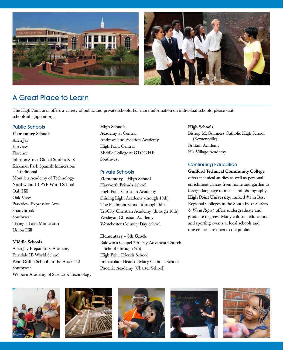



# A Great Place to Learn

The High Point area offers a variety of public and private schools. For more information on individual schools, please visit schoolsinhighpoint.org.

#### Public Schools

Elementary Schools Allen Jay Fairview Florence Johnson Street Global Studies K–8 Kirkman Park Spanish Immersion/ Traditional Montlieu Academy of Technology Northwood IB PYP World School Oak Hill Oak View Parkview Expressive Arts Shadybrook Southwest Triangle Lake Montessori Union Hill

#### Middle Schools

Allen Jay Preparatory Academy Ferndale IB World School Penn-Griffin School for the Arts 6–12 Southwest Welborn Academy of Science & Technology

#### High Schools

Academy at Central Andrews and Aviation Academy High Point Central Middle College at GTCC HP Southwest

#### Private Schools

Elementary – High School Hayworth Friends School High Point Christian Academy Shining Light Academy (though 10th) The Piedmont School (through 9th) Tri-City Christian Academy (through 10th) Wesleyan Christian Academy Westchester Country Day School

#### Elementary – 8th Grade

Baldwin's Chapel 7th Day Adventist Church School (through 7th) High Point Friends School Immaculate Heart of Mary Catholic School Phoenix Academy (Charter School)

#### High Schools

Bishop McGuinness Catholic High School (Kernersville) Brittain Academy His Village Academy

#### Continuing Education

Guilford Technical Community College offers technical studies as well as personal enrichment classes from home and garden to foreign language to music and photography. High Point University, ranked #1 in Best Regional Colleges in the South by *U.S. News & World Report*, offers undergraduate and graduate degrees. Many cultural, educational and sporting events at local schools and universities are open to the public.









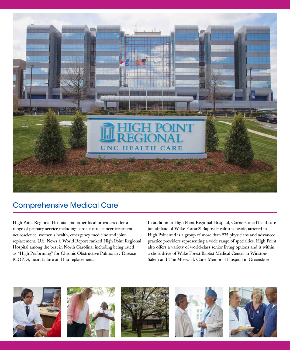## Comprehensive Medical Care

High Point Regional Hospital and other local providers offer a range of primary service including cardiac care, cancer treatment, neuroscience, women's health, emergency medicine and joint replacement. U.S. News & World Report ranked High Point Regional Hospital among the best in North Carolina, including being rated as "High Performing" for Chronic Obstructive Pulmonary Disease (COPD), heart failure and hip replacement.

In addition to High Point Regional Hospital, Cornerstone Healthcare (an affiliate of Wake Forest® Baptist Health) is headquartered in High Point and is a group of more than 275 physicians and advanced practice providers representing a wide range of specialties. High Point also offers a variety of world-class senior living options and is within a short drive of Wake Forest Baptist Medical Center in Winston-Salem and The Moses H. Cone Memorial Hospital in Greensboro.

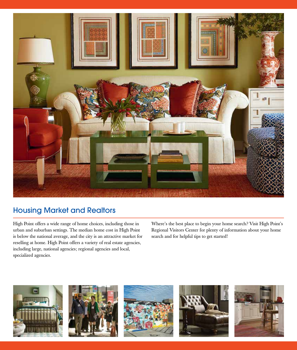

## Housing Market and Realtors

High Point offers a wide range of home choices, including those in urban and suburban settings. The median home cost in High Point is below the national average, and the city is an attractive market for reselling at home. High Point offers a variety of real estate agencies, including large, national agencies; regional agencies and local, specialized agencies.

Where's the best place to begin your home search? Visit High Point's Regional Visitors Center for plenty of information about your home search and for helpful tips to get started!